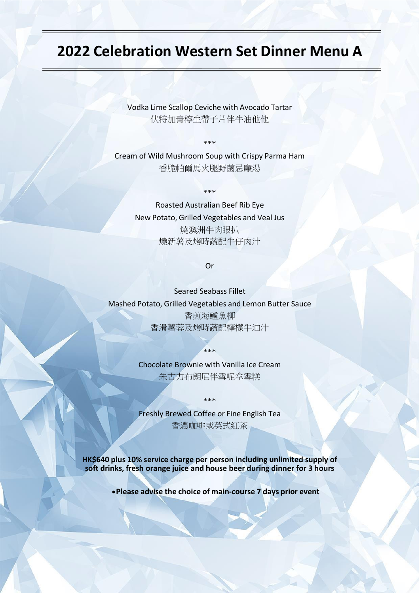## **2022 Celebration Western Set Dinner Menu A**

Vodka Lime Scallop Ceviche with Avocado Tartar 伏特加青檸生帶子片伴牛油他他

\*\*\*

Cream of Wild Mushroom Soup with Crispy Parma Ham 香脆帕爾馬火腿野菌忌廉湯

\*\*\*

Roasted Australian Beef Rib Eye New Potato, Grilled Vegetables and Veal Jus 燒澳洲牛肉眼扒 燒新薯及烤時蔬配牛仔肉汁

Or

Seared Seabass Fillet Mashed Potato, Grilled Vegetables and Lemon Butter Sauce 香煎海鱸魚柳 香滑薯蓉及烤時蔬配檸檬牛油汁

\*\*\*

Chocolate Brownie with Vanilla Ice Cream 朱古力布朗尼伴雪呢拿雪糕

\*\*\*

Freshly Brewed Coffee or Fine English Tea 香濃咖啡或英式紅茶

**HK\$640 plus 10% service charge per person including unlimited supply of soft drinks, fresh orange juice and house beer during dinner for 3 hours**

•**Please advise the choice of main-course 7 days prior event**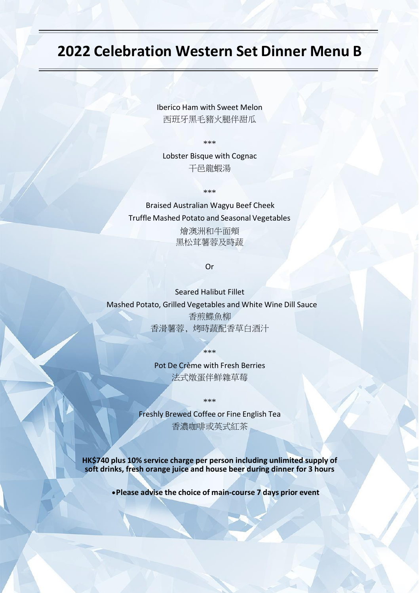## **2022 Celebration Western Set Dinner Menu B**

Iberico Ham with Sweet Melon 西班牙黑毛豬火腿伴甜瓜

\*\*\*

Lobster Bisque with Cognac 干邑龍蝦湯

\*\*\*

Braised Australian Wagyu Beef Cheek Truffle Mashed Potato and Seasonal Vegetables

> 燴澳洲和牛面頰 黑松茸薯蓉及時蔬

> > Or

Seared Halibut Fillet Mashed Potato, Grilled Vegetables and White Wine Dill Sauce 香煎鰈魚柳 香滑薯蓉, 烤時蔬配香草白酒汁

> Pot De Crème with Fresh Berries 法式燉蛋伴鮮雜草莓

\*\*\*

\*\*\*

Freshly Brewed Coffee or Fine English Tea 香濃咖啡或英式紅茶

**HK\$740 plus 10% service charge per person including unlimited supply of soft drinks, fresh orange juice and house beer during dinner for 3 hours**

•**Please advise the choice of main-course 7 days prior event**